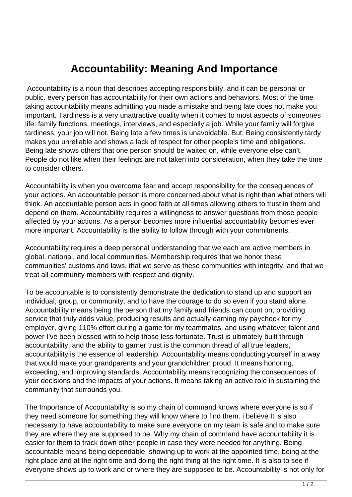## **Accountability: Meaning And Importance**

 Accountability is a noun that describes accepting responsibility, and it can be personal or public. every person has accountability for their own actions and behaviors. Most of the time taking accountability means admitting you made a mistake and being late does not make you important. Tardiness is a very unattractive quality when it comes to most aspects of someones life: family functions, meetings, interviews, and especially a job. While your family will forgive tardiness, your job will not. Being late a few times is unavoidable. But, Being consistently tardy makes you unreliable and shows a lack of respect for other people's time and obligations. Being late shows others that one person should be waited on, while everyone else can't. People do not like when their feelings are not taken into consideration, when they take the time to consider others.

Accountability is when you overcome fear and accept responsibility for the consequences of your actions. An accountable person is more concerned about what is right than what others will think. An accountable person acts in good faith at all times allowing others to trust in them and depend on them. Accountability requires a willingness to answer questions from those people affected by your actions. As a person becomes more influential accountability becomes ever more important. Accountability is the ability to follow through with your commitments.

Accountability requires a deep personal understanding that we each are active members in global, national, and local communities. Membership requires that we honor these communities' customs and laws, that we serve as these communities with integrity, and that we treat all community members with respect and dignity.

To be accountable is to consistently demonstrate the dedication to stand up and support an individual, group, or community, and to have the courage to do so even if you stand alone. Accountability means being the person that my family and friends can count on, providing service that truly adds value, producing results and actually earning my paycheck for my employer, giving 110% effort during a game for my teammates, and using whatever talent and power I've been blessed with to help those less fortunate. Trust is ultimately built through accountability, and the ability to garner trust is the common thread of all true leaders, accountability is the essence of leadership. Accountability means conducting yourself in a way that would make your grandparents and your grandchildren proud. It means honoring, exceeding, and improving standards. Accountability means recognizing the consequences of your decisions and the impacts of your actions. It means taking an active role in sustaining the community that surrounds you.

The Importance of Accountability is so my chain of command knows where everyone is so if they need someone for something they will know where to find them. i believe It is also necessary to have accountability to make sure everyone on my team is safe and to make sure they are where they are supposed to be. Why my chain of command have accountability it is easier for them to track down other people in case they were needed for anything. Being accountable means being dependable, showing up to work at the appointed time, being at the right place and at the right time and doing the right thing at the right time. It is also to see if everyone shows up to work and or where they are supposed to be. Accountability is not only for